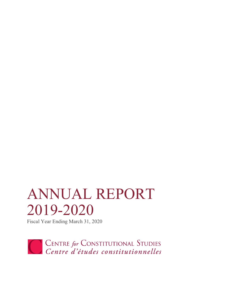# ANNUAL REPORT 2019-2020

Fiscal Year Ending March 31, 2020

CENTRE for CONSTITUTIONAL STUDIES<br>Centre d'études constitutionnelles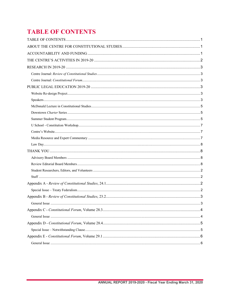# <span id="page-1-0"></span>**TABLE OF CONTENTS**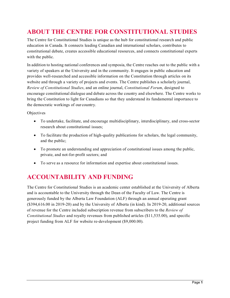# <span id="page-2-0"></span>**ABOUT THE CENTRE FOR CONSTITUTIONAL STUDIES**

The Centre for Constitutional Studies is unique as the hub for constitutional research and public education in Canada. It connects leading Canadian and international scholars, contributes to constitutional debate, creates accessible educational resources, and connects constitutional experts with the public.

In addition to hosting national conferences and symposia, the Centre reaches out to the public with a variety of speakers at the University and in the community. It engages in public education and provides well-researched and accessible information on the Constitution through articles on its website and through a variety of projects and events. The Centre publishes a scholarly journal, *Review of Constitutional Studies*, and an online journal, *Constitutional Forum*, designed to encourage constitutional dialogue and debate across the country and elsewhere. The Centre works to bring the Constitution to light for Canadians so that they understand its fundamental importance to the democratic workings of our country.

**Objectives** 

- To undertake, facilitate, and encourage multidisciplinary, interdisciplinary, and cross-sector research about constitutional issues;
- To facilitate the production of high-quality publications for scholars, the legal community, and the public;
- To promote an understanding and appreciation of constitutional issues among the public, private, and not-for-profit sectors; and
- To serve as a resource for information and expertise about constitutional issues.

# <span id="page-2-1"></span>**ACCOUNTABILITY AND FUNDING**

The Centre for Constitutional Studies is an academic center established at the University of Alberta and is accountable to the University through the Dean of the Faculty of Law. The Centre is generously funded by the Alberta Law Foundation (ALF) through an annual operating grant (\$394,616.00 in 2019-20) and by the University of Alberta (in kind). In 2019-20, additional sources of revenue for the Centre included subscription revenue from subscribers to the *Review of Constitutional Studies* and royalty revenues from published articles (\$11,535.00), and specific project funding from ALF for website re-development (\$9,000.00).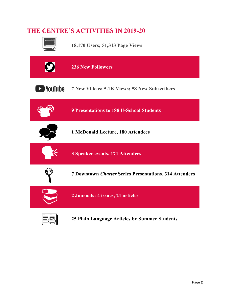## <span id="page-3-0"></span>**THE CENTRE'S ACTIVITIES IN 2019-20**

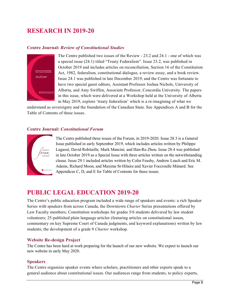## <span id="page-4-0"></span>**RESEARCH IN 2019-20**

#### <span id="page-4-1"></span>**Centre Journal:** *Review of Constitutional Studies*



The Centre published two issues of the Review - 23.2 and 24.1 - one of which was a special issue (24.1) titled "Treaty Federalism". Issue 23.2, was published in October 2019 and includes articles on reconciliation, Section 16 of the Constitution Act, 1982, federalism, constitutional dialogue, a review essay, and a book review. Issue 24.1 was published in late December 2019, and the Centre was fortunate to have two special guest editors, Assistant Professor Joshua Nichols, University of Alberta, and Amy Swiffen, Associate Professor, Concordia University. The papers in this issue, which were delivered at a Workshop held at the University of Alberta in May 2019, explore 'treaty federalism' which is a re-imagining of what we

understand as sovereignty and the foundation of the Canadian State. See Appendices A and B for the Table of Contents of these issues.

#### <span id="page-4-2"></span>**Centre Journal:** *Constitutional Forum*



The Centre published three issues of the Forum, in 2019-2020. Issue 28.3 is a General Issue published in early September 2019, which includes articles written by Philippe Lagassé*,* David Robitaille*,* Mark Mancini*,* and Han-Ru Zhou*.* Issue 28.4 was published in late October 2019 as a Special Issue with three articles written on the notwithstanding clause. Issue 29.1 included articles written by Colin Feasby, Andrew Leach and Eric M. Adams, Richard Moon, and Maxime St-Hilaire and Xavier Foccroulle Ménard. See Appendices C, D, and E for Table of Contents for these issues.

## <span id="page-4-3"></span>**PUBLIC LEGAL EDUCATION 2019-20**

The Centre's public education program included a wide range of speakers and events: a rich Speaker Series with speakers from across Canada, the Downtown *Charter* Series presentations offered by Law Faculty members; Constitution workshops for grades 5/6 students delivered by law student volunteers; 25 published plain language articles (featuring articles on constitutional issues, commentary on key Supreme Court of Canada judgments, and keyword explanations) written by law students; the development of a grade 9 *Charter* workshop.

#### <span id="page-4-4"></span>**Website Re-design Project**

The Centre has been hard at work preparing for the launch of our new website. We expect to launch our new website in early May 2020.

#### <span id="page-4-5"></span>**Speakers**

The Centre organizes speaker events where scholars, practitioners and other experts speak to a general audience about constitutional issues. Our audiences range from students, to policy experts,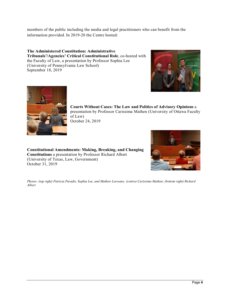members of the public including the media and legal practitioners who can benefit from the information provided. In 2019-20 the Centre hosted:

**The Administered Constitution: Administrative Tribunals'/Agencies' Critical Constitutional Role**, co-hosted with the Faculty of Law, a presentation by Professor Sophia Lee (University of Pennsylvania Law School) September 18, 2019





**Courts Without Cases: The Law and Politics of Advisory Opinions** a presentation by Professor Carissima Mathen (University of Ottawa Faculty of Law) October 24, 2019

**Constitutional Amendments: Making, Breaking, and Changing Constitutions** a presentation by Professor Richard Albert (University of Texas, Law, Government) October 31, 2019



*Photos: (top right) Patricia Paradis, Sophia Lee, and Mathew Leowans; (centre) Carissima Mathen; (bottom right) Richard Albert*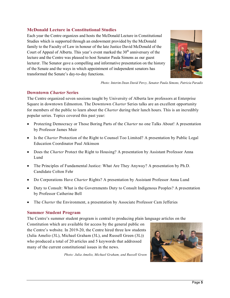#### <span id="page-6-0"></span>**McDonald Lecture in Constitutional Studies**

Each year the Centre organizes and hosts the McDonald Lecture in Constitutional Studies which is supported through an endowment provided by the McDonald family to the Faculty of Law in honour of the late Justice David McDonald of the Court of Appeal of Alberta. This year's event marked the  $30<sup>th</sup>$  anniversary of the lecture and the Centre was pleased to host Senator Paula Simons as our guest lecturer. The Senator gave a compelling and informative presentation on the history of the Senate and the ways in which appointment of independent senators has transformed the Senate's day-to-day functions.



*Photo: Interim Dean David Percy, Senator Paula Simons, Patricia Paradis*

#### <span id="page-6-1"></span>**Downtown** *Charter* **Series**

The Centre organized seven sessions taught by University of Alberta law professors at Enterprise Square in downtown Edmonton. The Downtown *Charter* Series talks are an excellent opportunity for members of the public to learn about the *Charter* during their lunch hours. This is an incredibly popular series. Topics covered this past year:

- Protecting Democracy or Those Boring Parts of the *Charter* no one Talks About! A presentation by Professor James Muir
- Is the *Charter* Protection of the Right to Counsel Too Limited? A presentation by Public Legal Education Coordinator Paul Atkinson
- Does the *Charter* Protect the Right to Housing? A presentation by Assistant Professor Anna Lund
- The Principles of Fundamental Justice: What Are They Anyway? A presentation by Ph.D. Candidate Colton Fehr
- Do Corporations Have *Charter* Rights? A presentation by Assistant Professor Anna Lund
- Duty to Consult: What is the Governments Duty to Consult Indigenous Peoples? A presentation by Professor Catherine Bell
- The *Charter* the Environment, a presentation by Associate Professor Cam Jefferies

#### <span id="page-6-2"></span>**Summer Student Program**

The Centre's summer student program is central to producing plain language articles on the

Constitution which are available for access by the general public on the Centre's website. In 2019-20, the Centre hired three law students (Julia Amelio (3L), Michael Graham (3L), and Russell Green (3L)) who produced a total of 20 articles and 5 keywords that addressed many of the current constitutional issues in the news.

*Photo: Julia Amelio, Michael Graham, and Russell Green*

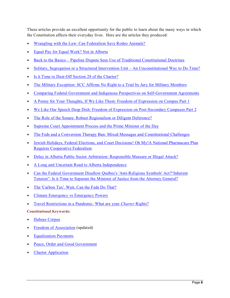These articles provide an excellent opportunity for the public to learn about the many ways in which the Constitution affects their everyday lives. Here are the articles they produced:

- [Wrangling with the Law: Can Federalism Save Rodeo Animals?](https://centreforconstitutionalstudies.createsend1.com/t/d-l-xxjjid-l-r/)
- [Equal Pay for Equal Work? Not in Alberta](https://centreforconstitutionalstudies.createsend1.com/t/d-l-xxjjid-l-y/)
- Back to the Basics [Pipeline Dispute Sees Use of Traditional Constitutional Doctrines](https://centreforconstitutionalstudies.createsend1.com/t/d-l-xxjjid-l-j/)
- [Solitary, Segregation or a Structured Intervention Unit –](https://centreforconstitutionalstudies.createsend1.com/t/d-l-xxjjid-l-t/) An Unconstitutional Way to Do Time?
- [Is it Time to Dust-Off Section 28 of the Charter?](https://centreforconstitutionalstudies.createsend1.com/t/d-l-xxjjid-l-i/)
- [The Military Exception: SCC Affirms No Right to a Trial by Jury for Military Members](https://centreforconstitutionalstudies.createsend1.com/t/d-l-xxjjid-l-d/)
- [Comparing Federal Government and Indigenous Perspectives](https://centreforconstitutionalstudies.createsend1.com/t/d-l-xxjjid-l-k/) on Self-Government Agreements
- [A Penny for Your Thoughts, If We Like Them: Freedom of Expression on Campus Part 1](https://centreforconstitutionalstudies.createsend1.com/t/d-l-xxjjid-l-u/)
- [We Like Our Speech Deep Dish: Freedom of Expression on Post-Secondary Campuses Part 2](https://centreforconstitutionalstudies.createsend1.com/t/d-l-xxjjid-l-o/)
- [The Role of the Senate: Robust Regionalism or Diligent Deference?](https://centreforconstitutionalstudies.createsend1.com/t/d-l-xxjjid-l-b/)
- [Supreme Court Appointment Process and the Prime Minister of the Day](https://centreforconstitutionalstudies.createsend1.com/t/d-l-xxjjid-l-n/)
- [The Feds and a Conversion Therapy Ban: Mixed Messages and Constitutional Challenges](https://centreforconstitutionalstudies.createsend1.com/t/d-l-xxjjid-l-p/)
- [Jewish Holidays, Federal Elections, and Court Decisions! Oh My!A National Pharmacare Plan](https://centreforconstitutionalstudies.createsend1.com/t/d-l-xxjjid-l-x/)  [Requires Cooperative Federalism](https://centreforconstitutionalstudies.createsend1.com/t/d-l-xxjjid-l-m/)
- [Delay in Alberta Public Sector Arbitration: Responsible Measure or Illegal Attack?](https://centreforconstitutionalstudies.createsend1.com/t/d-l-xxjjid-l-c/)
- [A Long and Uncertain Road to Alberta Independence](https://centreforconstitutionalstudies.createsend1.com/t/d-l-xxjjid-l-q/)
- Can the Federal Government Disallow Québec's 'Anti-Religious Symbols' Act?"Inherent [Tension": Is it Time to Separate the Minister of Justice from the Attorney General?](https://centreforconstitutionalstudies.createsend1.com/t/d-l-xxjjid-l-f/)
- [The 'Carbon Tax'. Wait, Can the Feds Do That?](https://centreforconstitutionalstudies.createsend1.com/t/d-l-xxjjid-l-z/)
- [Climate Emergency vs Emergency Powers](https://centreforconstitutionalstudies.createsend1.com/t/d-l-xxjjid-l-v/)
- [Travel Restrictions in a Pandemic: What are your](https://ualawccsprod.srv.ualberta.ca/2020/04/travel-restrictions-in-a-pandemic-what-are-your-charter-rights/) *Charter* Rights?

#### **Constitutional Keywords:**

- [Habeas Corpus](https://centreforconstitutionalstudies.createsend1.com/t/d-l-xxjjid-l-e/)
- **[Freedom of Association](https://centreforconstitutionalstudies.createsend1.com/t/d-l-xxjjid-l-s/)** (updated)
- [Equalization Payments](https://centreforconstitutionalstudies.createsend1.com/t/d-l-xxjjid-l-g/)
- [Peace, Order and Good Government](https://centreforconstitutionalstudies.createsend1.com/t/d-l-xxjjid-l-w/)
- [Charter Application](https://centreforconstitutionalstudies.createsend1.com/t/d-l-xxjjid-l-yd/)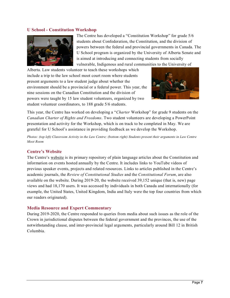#### <span id="page-8-0"></span>**U School - Constitution Workshop**



The Centre has developed a "Constitution Workshop" for grade 5/6 students about Confederation, the Constitution, and the division of powers between the federal and provincial governments in Canada. The U School program is organized by the University of Alberta Senate and is aimed at introducing and connecting students from socially vulnerable, Indigenous and rural communities to the University of

Alberta. Law students volunteer to teach these workshops which include a trip to the law school moot court room where students present arguments to a law student judge about whether the environment should be a provincial or a federal power. This year, the nine sessions on the Canadian Constitution and the division of powers were taught by 15 law student volunteers, organized by two student volunteer coordinators, to 188 grade 5/6 students.



This year, the Centre has worked on developing a "*Charter* Workshop" for grade 9 students on the *Canadian Charter of Rights and Freedoms*. Two student volunteers are developing a PowerPoint presentation and activity for the Workshop, which is on track to be completed in May. We are grateful for U School's assistance in providing feedback as we develop the Workshop.

*Photos: (top left) Classroom Activity in the Law Centre; (bottom right) Students present their arguments in Law Centre Moot Room*

#### <span id="page-8-1"></span>**Centre's Website**

The Centre's [website](https://ualawccsprod.srv.ualberta.ca/index.php/constitutional-issues/the-charter/1037-solitary-confinement-vs-the-charter-of-rights-and-freedoms) is its primary repository of plain language articles about the Constitution and information on events hosted annually by the Centre. It includes links to YouTube videos of previous speaker events, projects and related resources. Links to articles published in the Centre's academic journals, the *Review of Constitutional Studies* and the *Constitutional Forum*, are also available on the website. During 2019-20, the website received 39,152 unique (that is, new) page views and had 18,170 users. It was accessed by individuals in both Canada and internationally (for example, the United States, United Kingdom, India and Italy were the top four countries from which our readers originated).

#### <span id="page-8-2"></span>**Media Resource and Expert Commentary**

During 2019-2020, the Centre responded to queries from media about such issues as the role of the Crown in jurisdictional disputes between the federal government and the provinces, the use of the notwithstanding clause, and inter-provincial legal arguments, particularly around Bill 12 in British Columbia.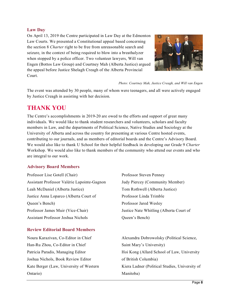#### <span id="page-9-0"></span>**Law Day**

On April 13, 2019 the Centre participated in Law Day at the Edmonton Law Courts. We presented a Constitutional appeal based concerning the section 8 *Charter* right to be free from unreasonable search and seizure, in the context of being required to blow into a breathalyzer when stopped by a police officer. Two volunteer lawyers, Will van Engen (Bottos Law Group) and Courtney Mah (Alberta Justice) argued the appeal before Justice Shelagh Creagh of the Alberta Provincial Court.



*Photo: Courtney Mah, Justice Creagh, and Will van Engen*

The event was attended by 30 people, many of whom were teenagers, and all were actively engaged by Justice Creagh in assisting with her decision.

### <span id="page-9-1"></span>**THANK YOU**

The Centre's accomplishments in 2019-20 are owed to the efforts and support of great many individuals. We would like to thank student researchers and volunteers, scholars and faculty members in Law, and the departments of Political Science, Native Studies and Sociology at the University of Alberta and across the country for presenting at various Centre hosted events, contributing to our journals, and as members of editorial boards and the Centre's Advisory Board. We would also like to thank U School for their helpful feedback in developing our Grade 9 *Charter*  Workshop. We would also like to thank members of the community who attend our events and who are integral to our work.

#### <span id="page-9-2"></span>**Advisory Board Members**

Professor Lise Gotell (Chair) Assistant Professor Valérie Lapointe-Gagnon Leah McDaniel (Alberta Justice) Justice Anna Loparco (Alberta Court of Queen's Bench) Professor James Muir (Vice-Chair) Assistant Professor Joshua Nichols

#### <span id="page-9-3"></span>**Review Editorial Board Members**

Noura Karazivan, Co-Editor in Chief Han-Ru Zhou, Co-Editor in Chief Patricia Paradis, Managing Editor Joshua Nichols, Book Review Editor Kate Berger (Law, University of Western Ontario)

Professor Steven Penney Judy Piercey (Community Member) Tom Rothwell (Alberta Justice) Professor Linda Trimble Professor Jared Wesley Justice Nate Whitling (Alberta Court of Queen's Bench)

Alexandra Dobrowolsky (Political Science, Saint Mary's University) Hoi Kong (Allard School of Law, University of British Columbia) Kiera Ladner (Political Studies, University of Manitoba)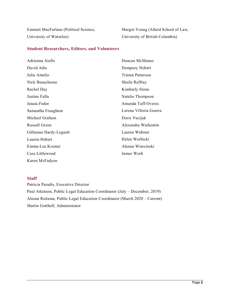Emmett MacFarlane (Political Science, University of Waterloo)

Margot Young (Allard School of Law, University of British Columbia)

#### <span id="page-10-0"></span>**Student Researchers, Editors, and Volunteers**

| Adrianna Aiello         | Duncan McManus         |
|-------------------------|------------------------|
| David Adie              | Dempsey Nobert         |
| Julia Amelio            | Tristan Patterson      |
| Nick Beauchesne         | Sheila Raffray         |
| Rachel Day              | Kimberly Stone         |
| Justine Fallu           | Natalie Thompson       |
| Janaia Fedor            | Amanda Tuff-Overes     |
| Samantha Fraughton      | Lorena Villoria Guerra |
| Michael Graham          | Doris Vucijak          |
| Russell Green           | Alexandra Warkentin    |
| Gillianne Hardy-Legault | Lauren Webster         |
| Lauren Hebert           | Helen Werbicki         |
| Emma-Lee Kramer         | Alanna Wiercinski      |
| Case Littlewood         | James Work             |
| Karen McFadyen          |                        |

#### <span id="page-10-1"></span>**Staff**

Patricia Paradis, Executive Director Paul Atkinson, Public Legal Education Coordinator (July – December, 2019) Aleena Reitsma, Public Legal Education Coordinator (March 2020 – Current) Martin Gotthelf, Administrator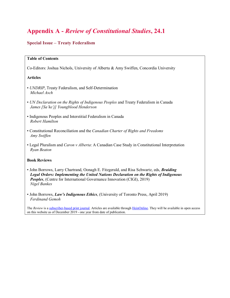## <span id="page-11-0"></span>**Appendix A -** *Review of Constitutional Studies***, 24.1**

#### <span id="page-11-1"></span>**Special Issue – Treaty Federalism**

#### **Table of Contents**

Co-Editors: Joshua Nichols, University of Alberta & Amy Swiffen, Concordia University

#### **Articles**

- *UNDRIP*, Treaty Federalism, and Self-Determination *Michael Asch*
- *UN Declaration on the Rights of Indigenous Peoples* and Treaty Federalism in Canada *James [Sa'ke'j] Youngblood Henderson*
- Indigenous Peoples and Interstitial Federalism in Canada *Robert Hamilton*
- Constitutional Reconciliation and the *Canadian Charter of Rights and Freedoms Amy Swiffen*
- Legal Pluralism and *Caron v Alberta*: A Canadian Case Study in Constitutional Interpretation *Ryan Beaton*

#### **Book Reviews**

- John Borrows, Larry Chartrand, Oonagh E. Fitzgerald, and Risa Schwartz, eds, *Braiding Legal Orders: Implementing the United Nations Declaration on the Rights of Indigenous Peoples*, (Centre for International Governance Innovation (CIGI), 2019) *Nigel Bankes*
- John Borrows, *Law's Indigenous Ethics*, (University of Toronto Press, April 2019) *Ferdinand Gemoh*

The *Review* is a [subscriber-based print journal.](http://trk.cp20.com/click/cfr1-w07u0-hse7pn-5kf5h449/) Articles are available through [HeinOnline.](https://home.heinonline.org/subscription-options/) They will be available in open access on this website as of December 2019 - one year from date of publication.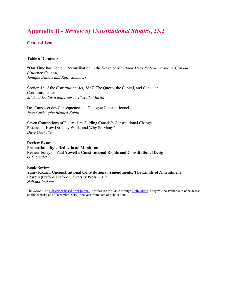# <span id="page-12-0"></span>**Appendix B -** *Review of Constitutional Studies***, 23.2**

#### <span id="page-12-1"></span>**General Issue**

#### **Table of Contents**

"Our Time has Come": Reconciliation in the Wake of *Manitoba Metis Federation Inc. v. Canada (Attorney General) Janique Dubois and Kelly Saunders*

Section 16 of the *Constitution Act, 1867*: The Queen, the Capital, and Canadian Constitutionalism *Michael Da Silva and Andrew Flavelle Martin*

Des Causes et des Conséquences du Dialogue Constitutionnel *Jean-Christophe Bédard-Rubin*

Seven Conceptions of Federalism Guiding Canada's Constitutional Change Process — How Do They Work, and Why So Many? *Dave Guénette*

**Review Essay Proportionality's Reductio ad Monitum:** Review Essay on Paul Yowell's **Constitutional Rights and Constitutional Design** *G.T. Sigalet*

**Book Review** Yaniv Roznai, **Unconstitutional Constitutional Amendments: The Limits of Amendment Powers** (Oxford: Oxford University Press, 2017) *Neliana Rodean*

The *Review* is a [subscriber-based print journal.](http://trk.cp20.com/click/cfr1-w07u0-hse7pn-5kf5h449/) Articles are available through [HeinOnline.](https://home.heinonline.org/subscription-options/) They will be available in open access on this website as of December 2019 - one year from date of publication.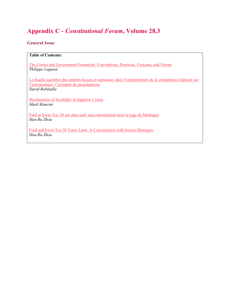# <span id="page-13-0"></span>**Appendix C -** *Constitutional Forum***, Volume 28.3**

#### <span id="page-13-1"></span>**General Issue**

#### **Table of Contents:**

[The Crown and Government Formation: Conventions, Practices, Customs, and Norms](https://journals.library.ualberta.ca/constitutional_forum/index.php/constitutional_forum/article/view/29384) *Philippe Lagassé*

Le fragile équilibre des intérêts locaux et nationaux dans l'interprétation de la compétence fédérale sur [l'aéronautique: l'exemple du parachutisme](https://journals.library.ualberta.ca/constitutional_forum/index.php/constitutional_forum/article/view/29385) *David Robitaille*

[Declarations of Invalidity in Superior Courts](https://journals.library.ualberta.ca/constitutional_forum/index.php/constitutional_forum/article/view/29386) *Mark Mancini*

[Ford et Irwin Toy 30 ans plus tard: une conversation avec le juge de Montigny](https://journals.library.ualberta.ca/constitutional_forum/index.php/constitutional_forum/article/view/29388) *Han-Ru Zhou*

[Ford and Irwin Toy 30 Years Later: A Conversation with Justice Montigny](https://journals.library.ualberta.ca/constitutional_forum/index.php/constitutional_forum/article/view/29387) *Han-Ru Zhou*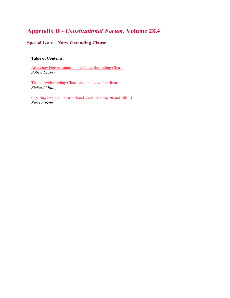# <span id="page-14-0"></span>**Appendix D -** *Constitutional Forum***, Volume 28.4**

#### <span id="page-14-1"></span>**Special Issue – Notwithstanding Clause**

#### **Table of Contents:**

[Advocacy Notwithstanding the Notwithstanding Clause](https://journals.library.ualberta.ca/constitutional_forum/index.php/constitutional_forum/article/view/29389/21388) *Robert Leckey*

[The Notwithstanding Clause and the New Populism](https://journals.library.ualberta.ca/constitutional_forum/index.php/constitutional_forum/article/view/29390/21389) *Richard Mailey*

[Shouting into the Constitutional Void: Section 28 and Bill 21](https://journals.library.ualberta.ca/constitutional_forum/index.php/constitutional_forum/article/view/29391/21390) *Kerri A Froc*